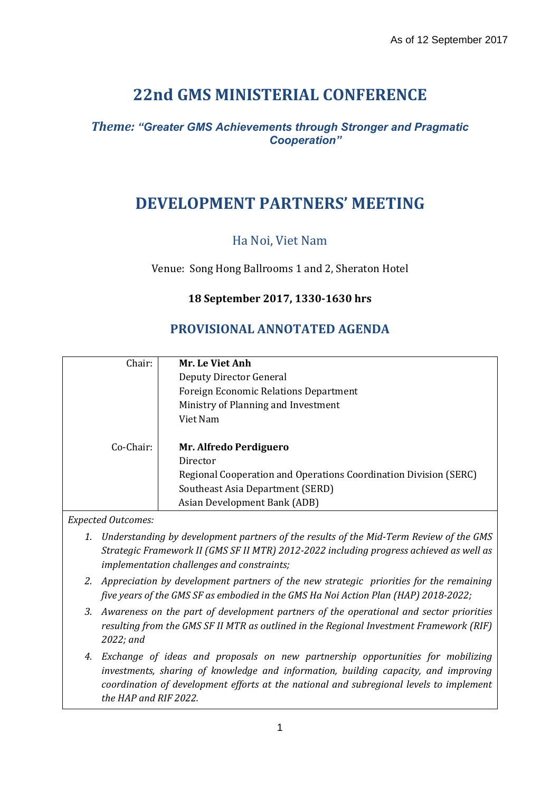# **22nd GMS MINISTERIAL CONFERENCE**

### *Theme: "Greater GMS Achievements through Stronger and Pragmatic Cooperation"*

## **DEVELOPMENT PARTNERS' MEETING**

Ha Noi, Viet Nam

Venue: Song Hong Ballrooms 1 and 2, Sheraton Hotel

#### **18 September 2017, 1330-1630 hrs**

### **PROVISIONAL ANNOTATED AGENDA**

| Chair:    | Mr. Le Viet Anh                                                  |
|-----------|------------------------------------------------------------------|
|           | Deputy Director General                                          |
|           | <b>Foreign Economic Relations Department</b>                     |
|           | Ministry of Planning and Investment                              |
|           | Viet Nam                                                         |
|           |                                                                  |
| Co-Chair: | Mr. Alfredo Perdiguero                                           |
|           | Director                                                         |
|           | Regional Cooperation and Operations Coordination Division (SERC) |
|           | Southeast Asia Department (SERD)                                 |
|           | Asian Development Bank (ADB)                                     |

*Expected Outcomes:*

- *1. Understanding by development partners of the results of the Mid-Term Review of the GMS Strategic Framework II (GMS SF II MTR) 2012-2022 including progress achieved as well as implementation challenges and constraints;*
- *2. Appreciation by development partners of the new strategic priorities for the remaining five years of the GMS SF as embodied in the GMS Ha Noi Action Plan (HAP) 2018-2022;*
- *3. Awareness on the part of development partners of the operational and sector priorities resulting from the GMS SF II MTR as outlined in the Regional Investment Framework (RIF) 2022; and*
- *4. Exchange of ideas and proposals on new partnership opportunities for mobilizing investments, sharing of knowledge and information, building capacity, and improving coordination of development efforts at the national and subregional levels to implement the HAP and RIF 2022.*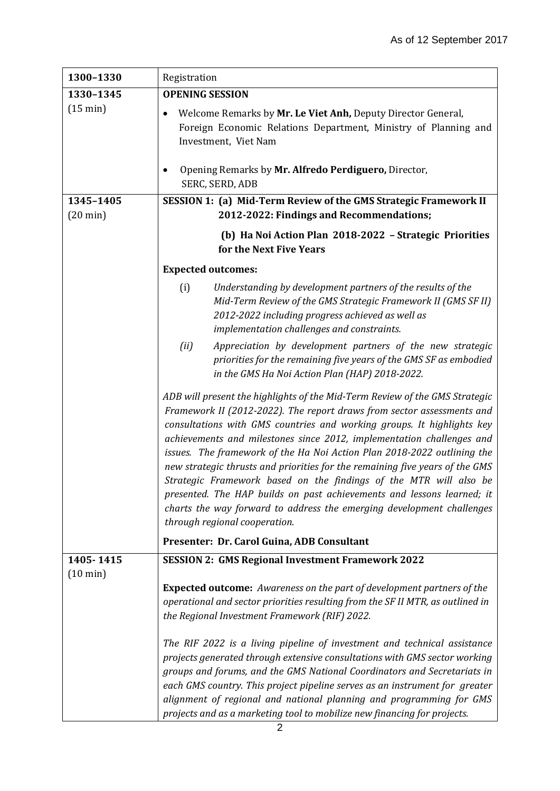| 1300-1330                       | Registration                                                                                                                                                                                                                                                                                                                                                                                                                                                                                                                                                                                                                                                                                                                 |
|---------------------------------|------------------------------------------------------------------------------------------------------------------------------------------------------------------------------------------------------------------------------------------------------------------------------------------------------------------------------------------------------------------------------------------------------------------------------------------------------------------------------------------------------------------------------------------------------------------------------------------------------------------------------------------------------------------------------------------------------------------------------|
| 1330-1345                       | <b>OPENING SESSION</b>                                                                                                                                                                                                                                                                                                                                                                                                                                                                                                                                                                                                                                                                                                       |
| $(15 \text{ min})$              | Welcome Remarks by Mr. Le Viet Anh, Deputy Director General,<br>٠<br>Foreign Economic Relations Department, Ministry of Planning and<br>Investment, Viet Nam                                                                                                                                                                                                                                                                                                                                                                                                                                                                                                                                                                 |
|                                 | Opening Remarks by Mr. Alfredo Perdiguero, Director,<br>٠<br>SERC, SERD, ADB                                                                                                                                                                                                                                                                                                                                                                                                                                                                                                                                                                                                                                                 |
| 1345-1405<br>$(20 \text{ min})$ | SESSION 1: (a) Mid-Term Review of the GMS Strategic Framework II<br>2012-2022: Findings and Recommendations;                                                                                                                                                                                                                                                                                                                                                                                                                                                                                                                                                                                                                 |
|                                 | (b) Ha Noi Action Plan 2018-2022 - Strategic Priorities<br>for the Next Five Years                                                                                                                                                                                                                                                                                                                                                                                                                                                                                                                                                                                                                                           |
|                                 | <b>Expected outcomes:</b>                                                                                                                                                                                                                                                                                                                                                                                                                                                                                                                                                                                                                                                                                                    |
|                                 | (i)<br>Understanding by development partners of the results of the<br>Mid-Term Review of the GMS Strategic Framework II (GMS SF II)<br>2012-2022 including progress achieved as well as<br>implementation challenges and constraints.                                                                                                                                                                                                                                                                                                                                                                                                                                                                                        |
|                                 | (ii)<br>Appreciation by development partners of the new strategic<br>priorities for the remaining five years of the GMS SF as embodied<br>in the GMS Ha Noi Action Plan (HAP) 2018-2022.                                                                                                                                                                                                                                                                                                                                                                                                                                                                                                                                     |
|                                 | ADB will present the highlights of the Mid-Term Review of the GMS Strategic<br>Framework II (2012-2022). The report draws from sector assessments and<br>consultations with GMS countries and working groups. It highlights key<br>achievements and milestones since 2012, implementation challenges and<br>issues. The framework of the Ha Noi Action Plan 2018-2022 outlining the<br>new strategic thrusts and priorities for the remaining five years of the GMS<br>Strategic Framework based on the findings of the MTR will also be<br>presented. The HAP builds on past achievements and lessons learned; it<br>charts the way forward to address the emerging development challenges<br>through regional cooperation. |
|                                 | Presenter: Dr. Carol Guina, ADB Consultant                                                                                                                                                                                                                                                                                                                                                                                                                                                                                                                                                                                                                                                                                   |
| 1405-1415                       | <b>SESSION 2: GMS Regional Investment Framework 2022</b>                                                                                                                                                                                                                                                                                                                                                                                                                                                                                                                                                                                                                                                                     |
| $(10 \text{ min})$              | <b>Expected outcome:</b> Awareness on the part of development partners of the<br>operational and sector priorities resulting from the SF II MTR, as outlined in<br>the Regional Investment Framework (RIF) 2022.                                                                                                                                                                                                                                                                                                                                                                                                                                                                                                             |
|                                 | The RIF 2022 is a living pipeline of investment and technical assistance<br>projects generated through extensive consultations with GMS sector working<br>groups and forums, and the GMS National Coordinators and Secretariats in<br>each GMS country. This project pipeline serves as an instrument for greater<br>alignment of regional and national planning and programming for GMS<br>projects and as a marketing tool to mobilize new financing for projects.                                                                                                                                                                                                                                                         |